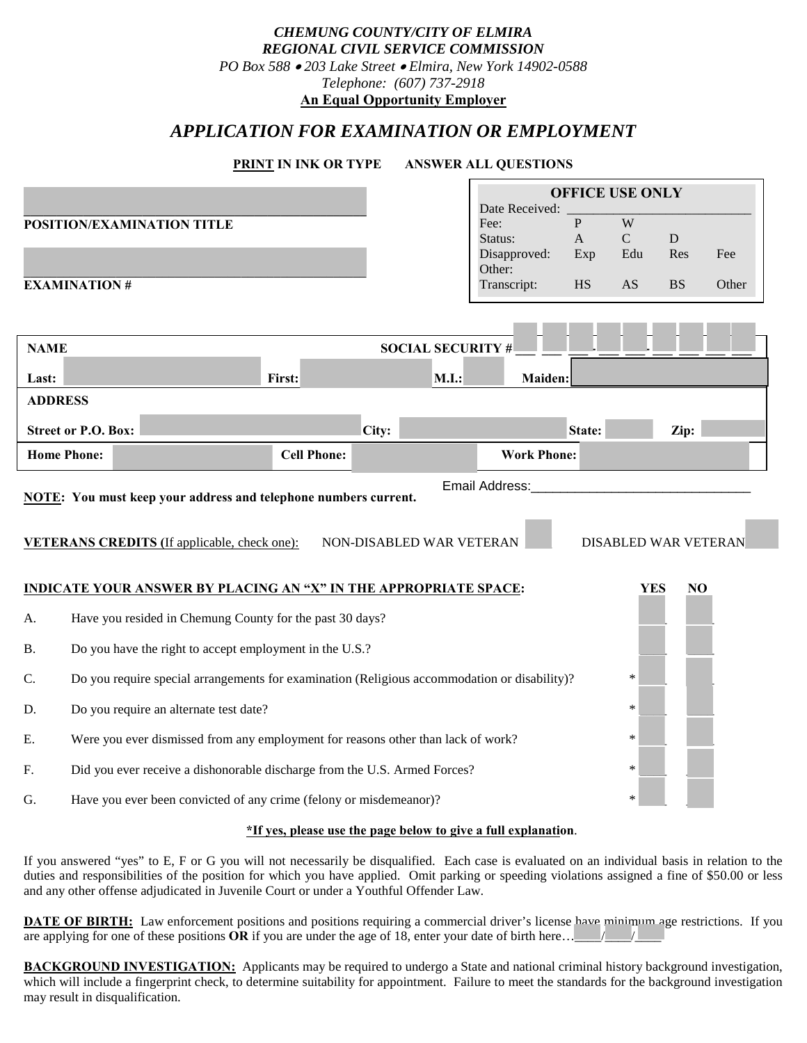| REGIONAL CIVIL SERVICE COMMISSION<br>PO Box 588 . 203 Lake Street . Elmira, New York 14902-0588<br>Telephone: (607) 737-2918<br><b>An Equal Opportunity Employer</b> |                                                                                                        |  |                                                                                       |                 |                              |                  |             |       |  |
|----------------------------------------------------------------------------------------------------------------------------------------------------------------------|--------------------------------------------------------------------------------------------------------|--|---------------------------------------------------------------------------------------|-----------------|------------------------------|------------------|-------------|-------|--|
| APPLICATION FOR EXAMINATION OR EMPLOYMENT                                                                                                                            |                                                                                                        |  |                                                                                       |                 |                              |                  |             |       |  |
|                                                                                                                                                                      | <b>PRINT IN INK OR TYPE</b><br><b>ANSWER ALL QUESTIONS</b>                                             |  |                                                                                       |                 |                              |                  |             |       |  |
|                                                                                                                                                                      | <b>OFFICE USE ONLY</b><br>Date Received:                                                               |  |                                                                                       |                 |                              |                  |             |       |  |
|                                                                                                                                                                      | POSITION/EXAMINATION TITLE                                                                             |  |                                                                                       | Fee:<br>Status: | $\mathbf{P}$<br>$\mathbf{A}$ | W<br>$\mathbf C$ | $\mathbf D$ |       |  |
|                                                                                                                                                                      |                                                                                                        |  |                                                                                       | Disapproved:    | Exp                          | Edu              | Res         | Fee   |  |
|                                                                                                                                                                      | Other:<br><b>EXAMINATION#</b><br><b>HS</b><br>Transcript:                                              |  |                                                                                       |                 |                              |                  |             | Other |  |
|                                                                                                                                                                      |                                                                                                        |  |                                                                                       |                 |                              |                  |             |       |  |
|                                                                                                                                                                      | <b>SOCIAL SECURITY #</b><br><b>NAME</b>                                                                |  |                                                                                       |                 |                              |                  |             |       |  |
| Last:                                                                                                                                                                | M.I.:<br>First:<br>Maiden:                                                                             |  |                                                                                       |                 |                              |                  |             |       |  |
| <b>ADDRESS</b>                                                                                                                                                       |                                                                                                        |  |                                                                                       |                 |                              |                  |             |       |  |
|                                                                                                                                                                      | <b>Street or P.O. Box:</b><br>City:<br>Zip:<br>State:                                                  |  |                                                                                       |                 |                              |                  |             |       |  |
| <b>Home Phone:</b><br><b>Cell Phone:</b><br><b>Work Phone:</b>                                                                                                       |                                                                                                        |  |                                                                                       |                 |                              |                  |             |       |  |
| Email Address:<br><b>NOTE:</b> You must keep your address and telephone numbers current.                                                                             |                                                                                                        |  |                                                                                       |                 |                              |                  |             |       |  |
|                                                                                                                                                                      |                                                                                                        |  |                                                                                       |                 |                              |                  |             |       |  |
| <b>VETERANS CREDITS</b> (If applicable, check one):<br>NON-DISABLED WAR VETERAN<br><b>DISABLED WAR VETERAN</b>                                                       |                                                                                                        |  |                                                                                       |                 |                              |                  |             |       |  |
| <b>INDICATE YOUR ANSWER BY PLACING AN "X" IN THE APPROPRIATE SPACE:</b><br><b>YES</b><br>N <sub>O</sub>                                                              |                                                                                                        |  |                                                                                       |                 |                              |                  |             |       |  |
| Have you resided in Chemung County for the past 30 days?<br>A.                                                                                                       |                                                                                                        |  |                                                                                       |                 |                              |                  |             |       |  |
| <b>B.</b>                                                                                                                                                            | Do you have the right to accept employment in the U.S.?                                                |  |                                                                                       |                 |                              |                  |             |       |  |
| C.                                                                                                                                                                   | $\ast$<br>Do you require special arrangements for examination (Religious accommodation or disability)? |  |                                                                                       |                 |                              |                  |             |       |  |
| D.                                                                                                                                                                   | Do you require an alternate test date?<br>$\ast$                                                       |  |                                                                                       |                 |                              |                  |             |       |  |
| Е.                                                                                                                                                                   |                                                                                                        |  | Were you ever dismissed from any employment for reasons other than lack of work?<br>∗ |                 |                              |                  |             |       |  |
| Did you ever receive a dishonorable discharge from the U.S. Armed Forces?<br>$\ast$<br>F.                                                                            |                                                                                                        |  |                                                                                       |                 |                              |                  |             |       |  |
|                                                                                                                                                                      |                                                                                                        |  |                                                                                       |                 |                              |                  |             |       |  |

*CHEMUNG COUNTY/CITY OF ELMIRA*

## **\*If yes, please use the page below to give a full explanation**.

If you answered "yes" to E, F or G you will not necessarily be disqualified. Each case is evaluated on an individual basis in relation to the duties and responsibilities of the position for which you have applied. Omit parking or speeding violations assigned a fine of \$50.00 or less and any other offense adjudicated in Juvenile Court or under a Youthful Offender Law.

**DATE OF BIRTH:** Law enforcement positions and positions requiring a commercial driver's license have minimum age restrictions. If you are applying for one of these positions  $OR$  if you are under the age of 18, enter your date of birth here…

**BACKGROUND INVESTIGATION:** Applicants may be required to undergo a State and national criminal history background investigation, which will include a fingerprint check, to determine suitability for appointment. Failure to meet the standards for the background investigation may result in disqualification.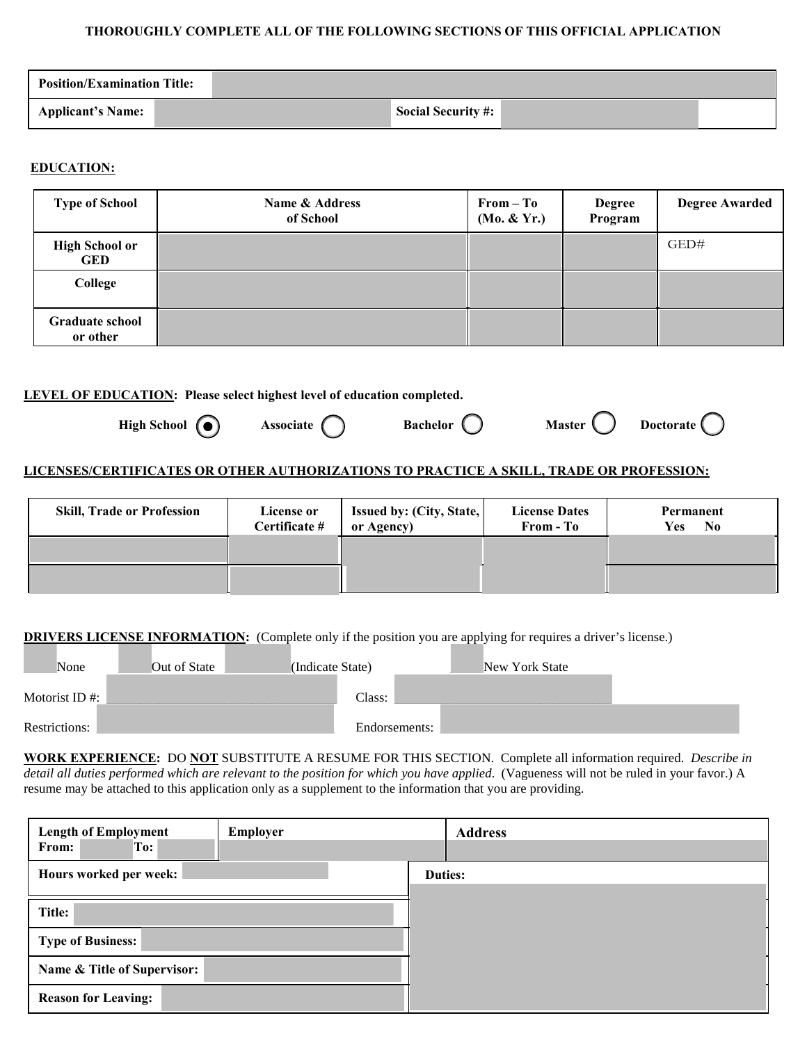#### **THOROUGHLY COMPLETE ALL OF THE FOLLOWING SECTIONS OF THIS OFFICIAL APPLICATION**

| <b>Position/Examination Title:</b> |                           |
|------------------------------------|---------------------------|
| Applicant's Name:                  | <b>Social Security #:</b> |

## **EDUCATION:**

| <b>Type of School</b>               | Name & Address<br>of School | $From - To$<br>(Mo. & Yr.) | <b>Degree</b><br>Program | <b>Degree Awarded</b> |
|-------------------------------------|-----------------------------|----------------------------|--------------------------|-----------------------|
| <b>High School or</b><br><b>GED</b> |                             |                            |                          | GED#                  |
| College                             |                             |                            |                          |                       |
| <b>Graduate school</b><br>or other  |                             |                            |                          |                       |

### **LEVEL OF EDUCATION: Please select highest level of education completed.**

High School (a) Associate (b) Bachelor (b) Master (b) Doctorate

# **LICENSES/CERTIFICATES OR OTHER AUTHORIZATIONS TO PRACTICE A SKILL, TRADE OR PROFESSION:**

| <b>Skill, Trade or Profession</b> | License or<br>Certificate # | <b>Issued by: (City, State,  </b><br>or Agency) | <b>License Dates</b><br>From - To | Permanent<br>$\mathbf{N}\mathbf{0}$<br><b>Yes</b> |
|-----------------------------------|-----------------------------|-------------------------------------------------|-----------------------------------|---------------------------------------------------|
|                                   |                             |                                                 |                                   |                                                   |
|                                   |                             |                                                 |                                   |                                                   |

## **DRIVERS LICENSE INFORMATION:** (Complete only if the position you are applying for requires a driver's license.)

| None              | Out of State | (Indicate State) |               | New York State |  |
|-------------------|--------------|------------------|---------------|----------------|--|
| Motorist ID $#$ : |              | Class:           |               |                |  |
| Restrictions:     |              |                  | Endorsements: |                |  |

**WORK EXPERIENCE:** DO **NOT** SUBSTITUTE A RESUME FOR THIS SECTION. Complete all information required. *Describe in detail all duties performed which are relevant to the position for which you have applied*. (Vagueness will not be ruled in your favor.) A resume may be attached to this application only as a supplement to the information that you are providing.

| <b>Length of Employment</b><br>Employer<br>To:<br>From: |  |  | <b>Address</b> |
|---------------------------------------------------------|--|--|----------------|
| Hours worked per week:                                  |  |  | Duties:        |
| Title:                                                  |  |  |                |
| <b>Type of Business:</b>                                |  |  |                |
| Name & Title of Supervisor:                             |  |  |                |
| <b>Reason for Leaving:</b>                              |  |  |                |